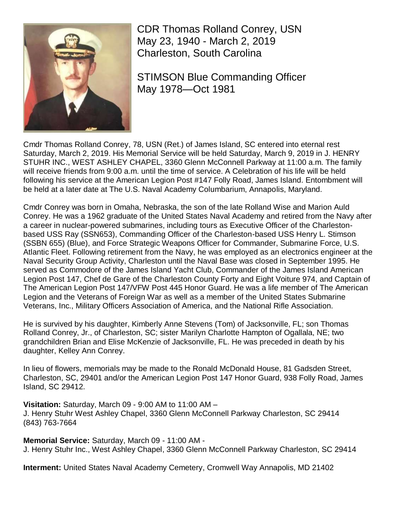

CDR Thomas Rolland Conrey, USN May 23, 1940 - March 2, 2019 Charleston, South Carolina

STIMSON Blue Commanding Officer May 1978—Oct 1981

Cmdr Thomas Rolland Conrey, 78, USN (Ret.) of James Island, SC entered into eternal rest Saturday, March 2, 2019. His Memorial Service will be held Saturday, March 9, 2019 in J. HENRY STUHR INC., WEST ASHLEY CHAPEL, 3360 Glenn McConnell Parkway at 11:00 a.m. The family will receive friends from 9:00 a.m. until the time of service. A Celebration of his life will be held following his service at the American Legion Post #147 Folly Road, James Island. Entombment will be held at a later date at The U.S. Naval Academy Columbarium, Annapolis, Maryland.

Cmdr Conrey was born in Omaha, Nebraska, the son of the late Rolland Wise and Marion Auld Conrey. He was a 1962 graduate of the United States Naval Academy and retired from the Navy after a career in nuclear-powered submarines, including tours as Executive Officer of the Charlestonbased USS Ray (SSN653), Commanding Officer of the Charleston-based USS Henry L. Stimson (SSBN 655) (Blue), and Force Strategic Weapons Officer for Commander, Submarine Force, U.S. Atlantic Fleet. Following retirement from the Navy, he was employed as an electronics engineer at the Naval Security Group Activity, Charleston until the Naval Base was closed in September 1995. He served as Commodore of the James Island Yacht Club, Commander of the James Island American Legion Post 147, Chef de Gare of the Charleston County Forty and Eight Voiture 974, and Captain of The American Legion Post 147/VFW Post 445 Honor Guard. He was a life member of The American Legion and the Veterans of Foreign War as well as a member of the United States Submarine Veterans, Inc., Military Officers Association of America, and the National Rifle Association.

He is survived by his daughter, Kimberly Anne Stevens (Tom) of Jacksonville, FL; son Thomas Rolland Conrey, Jr., of Charleston, SC; sister Marilyn Charlotte Hampton of Ogallala, NE; two grandchildren Brian and Elise McKenzie of Jacksonville, FL. He was preceded in death by his daughter, Kelley Ann Conrey.

In lieu of flowers, memorials may be made to the Ronald McDonald House, 81 Gadsden Street, Charleston, SC, 29401 and/or the American Legion Post 147 Honor Guard, 938 Folly Road, James Island, SC 29412.

**Visitation:** Saturday, March 09 - 9:00 AM to 11:00 AM – J. Henry Stuhr West Ashley Chapel, 3360 Glenn McConnell Parkway Charleston, SC 29414 (843) 763-7664

**Memorial Service:** Saturday, March 09 - 11:00 AM - J. Henry Stuhr Inc., West Ashley Chapel, 3360 Glenn McConnell Parkway Charleston, SC 29414

**Interment:** United States Naval Academy Cemetery, Cromwell Way Annapolis, MD 21402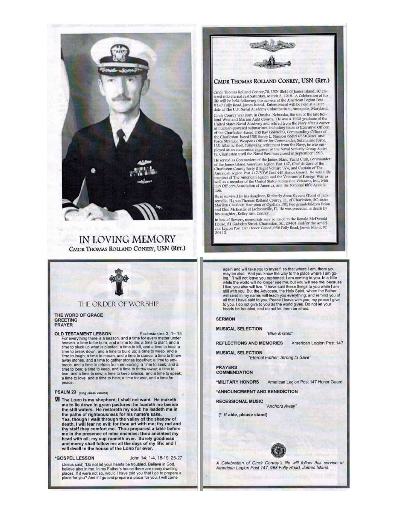

IN LOVING MEMORY CMDR THOMAS ROLLAND CONREY, USN (RET.)



### THE ORDER OF WORSHIP

#### THE WORD OF GRACE **GREETING PRAYER**

OLD TESTAMENT LESSON Ecclesiastes 3: 1-15 For everything there is a season, and a time for every matter under heaven: a time to be born, and a time to die; a time to plant, and a time to pluck up what is planted; a time to kill, and a time to heal; a<br>time to break down, and a time to build up; a time to weep, and a time to laugh; a time to mourn, and a time to dance; a time to throw<br>away stones, and a time to gather stones together; a time to em-<br>brace, and a time to refrain from embracing; a time to seek, and<br>time to lose; a time to a time to love, and a time to hate; a time for war, and a time for реасе.

#### PSALM 23 (King James Version)

The Loro is my shepherd; I shall not want. He maketh<br>me to lie down in green pastures: he leadeth me beside the still waters. He restoreth my soul: he leadeth me in the paths of righteousness for his name's sake. Yea, though I walk through the valley of the shadow of<br>death, I will fear no evil: for thou art with me; thy rod and<br>thy staff they comfort me. Thou preparest a table before me in the presence of mine enemies: thou anointest my head with oil; my cup runneth over. Surely goodness and mercy shall follow me all the days of my life: and I will dwell in the house of the Lorp for ever.

#### \*GOSPEL LESSON

John 14: 1-4, 18-19, 25-27 (Jesus said) "Do not let your hearts be troubled. Believe in God, believe also in me. In my Father's house there are many dwelling<br>places. If it were not so, would I have told you that I go to prepare a place for you? And if I go and prepare a place for you, I will come



## CMDR THOMAS ROLLAND CONREY, USN (RET.)

Cmdr Thomas Rolland Courey,78, USN (Ret.) of James Island, SC en-<br>tered into eternal rest Saturday, March 2, 2019. A Celebration of his life will be held following this service at the American Legion Fost  $#147$  Folly Road, James Island. Entombment will be held at a later date at The U.S. Naval Academy Columbarium, Annapolis, Maryland. Cmdr Conrey was born in Omaha, Nebraska, the son of the late Rolland Wise and Marion Auld Conrey. He was a 1962 graduate of the<br>United States Naval Academy and retired from the Navy after a career United States Navia Academy and vertex the control of the Charleston-based USS Ray (\$SN653), Commanding Course of the Charleston-based USS Ray (\$SN653), Commanding Officer of the Charleston-based USS Ray (\$SN653), Commandi

U.S. Atlantic Fleet. Following retirement from the Navy, he was em-<br>ployed as an electronics engineer at the Naval Security Group Activity, Charleston until the Naval Base was closed in September 1995.

He served as Commodore of the James Island Yacht Club, Commander of the James Island American Legion Post 147, Chef de Gare of the Charleston County Forty & Eight Voiture 974, and Captain of The Charleston County Yorky & Eight Voture 974, and Captain of the<br>American Legion Post 147/VFW Post 445 Honor Guard. He was a life<br>member of The American Legion and the Veterans of Foreign War as<br>well as a member of the Unite

He is survived by his daughter, Kimberly Anne Stevens (Tom) of Jack-Fit is survived by the state of context, the state of context of the state of the state of the main and Elise Marilyn Charlotte Hampton of Ogallala, NE; two grandchildren Brian and Elise McKenzie of Jacksonville, FL. He wa his daughter, Kelley Ann Conrey.

In lieu of flowers, memorials may be made to the Ronald McDonald<br>House, 81 Gadsden Street, Charleston, SC, 29401 and/or the American Legion Post 147 Henor Guard, 938 Folly Road, James Island, SC 29412

again and will take you to myself, so that where I am, there you any be also. And you know the way to the place where I am go-<br>ing." I will not leave you orphaned; I am coming to you. In a little<br>while the world will no longer see me, but you. In a little<br>I live, you also will live. "I still with you. But the Advocate, the Holy Spirit, whom the Father will send in my name, will teach you everything, and remind you of<br>all that I have said to you. Peace I leave with you; my peace I give<br>to you. I do not give to you as the world gives. Do not let your<br>hearts be troubled, a

#### **SERMON**

**MUSICAL SELECTION** "Blue & Gold"

**REFLECTIONS AND MEMORIES** American Legion Post 147

**MUSICAL SELECTION** 

"Etemal Father, Strong to Save"

**PRAYERS COMMENDATION** 

**MILITARY HONORS** American Legion Post 147 Honor Guard

\*ANNOUNCEMENT AND BENEDICTION

**RECESSIONAL MUSIC** 

"Anchors Away"

(\* If able, please stand)



A Celebration of Cmdr Conrey's life will follow this service at<br>American Legion Post 147, 968 Folly Road, James Island.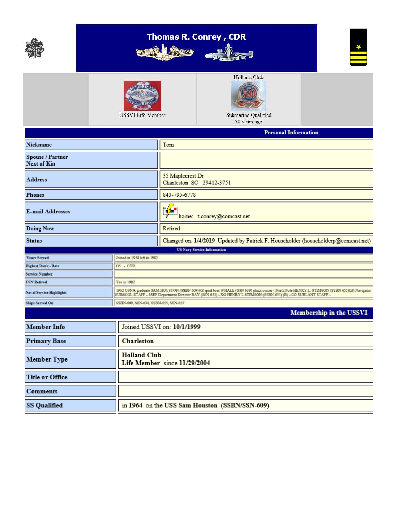

# Thomas R. Conrey, CDR online 4





¥

Submarine Qualified 50 years ago

|                                        |                                                     | rersonal information                                                                                                                                                                                                                                        |  |  |  |  |
|----------------------------------------|-----------------------------------------------------|-------------------------------------------------------------------------------------------------------------------------------------------------------------------------------------------------------------------------------------------------------------|--|--|--|--|
| Nickname                               |                                                     | Tom                                                                                                                                                                                                                                                         |  |  |  |  |
| Spouse / Partner<br><b>Next of Kin</b> |                                                     |                                                                                                                                                                                                                                                             |  |  |  |  |
| <b>Address</b>                         |                                                     | 35 Maplecrest Dr<br>Charleston SC 29412-3751                                                                                                                                                                                                                |  |  |  |  |
| <b>Phones</b>                          |                                                     | 843-795-6778                                                                                                                                                                                                                                                |  |  |  |  |
| <b>E-mail Addresses</b>                |                                                     | 陷<br>home: t.conrey@comcast.net                                                                                                                                                                                                                             |  |  |  |  |
| Doing Now                              |                                                     | Retired                                                                                                                                                                                                                                                     |  |  |  |  |
| <b>Status</b>                          |                                                     | Changed on: 1/4/2019 Updated by Patrick F. Householder (householderp@comcast.net)                                                                                                                                                                           |  |  |  |  |
|                                        |                                                     | <b>US Navy Service Information</b>                                                                                                                                                                                                                          |  |  |  |  |
| Years Served                           | Joined in 1958 left in 1982                         |                                                                                                                                                                                                                                                             |  |  |  |  |
| <b>Highest Rank - Rate</b>             | $O5 - CDR$                                          |                                                                                                                                                                                                                                                             |  |  |  |  |
| <b>Service Number</b>                  |                                                     |                                                                                                                                                                                                                                                             |  |  |  |  |
| <b>USN Retired</b>                     | Yea in 1982                                         |                                                                                                                                                                                                                                                             |  |  |  |  |
| <b>Naval Service Highlights</b>        |                                                     | 1962 USNA graduate SAM HOUSTON (SSBN 609)(G) qual boat WHALE (SSN 638) plank owner / North Pole HENRY L. STIMSON (SSBN 655)(B) Navigator<br>SUBSCOL STAFF - SSEP Department Director RAY (SSN 653) - XO HENRY L STIMSON (SSBN 655) (B) - CO SUBLANT STAFF - |  |  |  |  |
| <b>Ships Served On</b>                 |                                                     | SSBN-609, SSN-638, SSBN-655, SSN-653                                                                                                                                                                                                                        |  |  |  |  |
|                                        |                                                     | Membership in the USSVI                                                                                                                                                                                                                                     |  |  |  |  |
| <b>Member Info</b>                     |                                                     | Joined USSVI on: 10/1/1999                                                                                                                                                                                                                                  |  |  |  |  |
| <b>Primary Base</b>                    | Charleston                                          |                                                                                                                                                                                                                                                             |  |  |  |  |
| <b>Member Type</b>                     | <b>Holland Club</b><br>Life Member since 11/29/2004 |                                                                                                                                                                                                                                                             |  |  |  |  |
| <b>Title or Office</b>                 |                                                     |                                                                                                                                                                                                                                                             |  |  |  |  |
| Comments                               |                                                     |                                                                                                                                                                                                                                                             |  |  |  |  |
| <b>SS Qualified</b>                    | in 1964 on the USS Sam Houston (SSBN/SSN-609)       |                                                                                                                                                                                                                                                             |  |  |  |  |